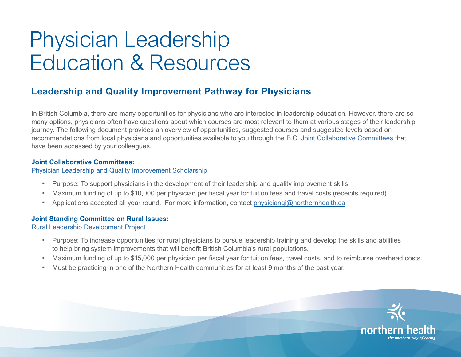# Physician Leadership Education & Resources

# **Leadership and Quality Improvement Pathway for Physicians**

In British Columbia, there are many opportunities for physicians who are interested in leadership education. However, there are so many options, physicians often have questions about which courses are most relevant to them at various stages of their leadership journey. The following document provides an overview of opportunities, suggested courses and suggested levels based on recommendations from local physicians and opportunities available to you through the B.C. [Joint Collaborative Committees](https://www.doctorsofbc.ca/tags/joint-collaborative-committees) that have been accessed by your colleagues.

### **Joint Collaborative Committees:**

[Physician Leadership and Quality Improvement Scholarship](http://sscbc.ca/physician-engagement/leadership-training-scholarship)

- Purpose: To support physicians in the development of their leadership and quality improvement skills
- Maximum funding of up to \$10,000 per physician per fiscal year for tuition fees and travel costs (receipts required).
- Applications accepted all year round. For more information, contact physiciangi@northernhealth.ca

# **Joint Standing Committee on Rural Issues:**

[Rural Leadership Development Project](https://rccbc.ca/practitioner-support/rural-physicians/reap-programs/rural-leadership-development-project/)

- • Purpose: To increase opportunities for rural physicians to pursue leadership training and develop the skills and abilities to help bring system improvements that will benefit British Columbia's rural populations.
- Maximum funding of up to \$15,000 per physician per fiscal year for tuition fees, travel costs, and to reimburse overhead costs.
- Must be practicing in one of the Northern Health communities for at least 9 months of the past year.

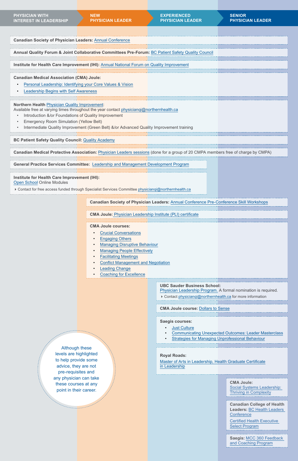Although these levels are highlighted to help provide some advice, they are not pre-requisites and any physician can take these courses at any point in their career.

| <b>Canadian Society of Physician Leaders: Annual Conference</b>                                                                                                                                                                                                                                                                                          |  |  |
|----------------------------------------------------------------------------------------------------------------------------------------------------------------------------------------------------------------------------------------------------------------------------------------------------------------------------------------------------------|--|--|
|                                                                                                                                                                                                                                                                                                                                                          |  |  |
| Annual Quality Forum & Joint Collaborative Committees Pre-Forum: BC Patient Safety Quality Council                                                                                                                                                                                                                                                       |  |  |
|                                                                                                                                                                                                                                                                                                                                                          |  |  |
| Institute for Health Care Improvement (IHI): Annual National Forum on Quality Improvement                                                                                                                                                                                                                                                                |  |  |
|                                                                                                                                                                                                                                                                                                                                                          |  |  |
| <b>Canadian Medical Association (CMA) Joule:</b><br>Personal Leadership: Identifying your Core Values & Vision<br>Leadership Begins with Self Awareness                                                                                                                                                                                                  |  |  |
|                                                                                                                                                                                                                                                                                                                                                          |  |  |
| <b>Northern Health Physician Quality Improvement:</b><br>Available free at varying times throughout the year contact physiciangi@northernhealth.ca<br>Introduction &/or Foundations of Quality Improvement<br><b>Emergency Room Simulation (Yellow Belt)</b><br>Intermediate Quality Improvement (Green Belt) &/or Advanced Quality Improvement training |  |  |
|                                                                                                                                                                                                                                                                                                                                                          |  |  |
| <b>BC Patient Safety Quality Council: Quality Academy</b>                                                                                                                                                                                                                                                                                                |  |  |

- [Crucial Conversations](https://joulecma.ca/learn/crucial-conversations)
- **[Engaging Others](https://joulecma.ca/learn/engaging-others)**
- [Managing Disruptive Behaviour](https://shop.cma.ca/products/00002020)
- [Managing People Effectively](https://shop.cma.ca/products/00001980)
- **[Facilitating Meetings](https://shop.cma.ca/products/00002253)**
- **[Conflict Management and Negotiation](https://shop.cma.ca/products/00001981)**
- **[Leading Change](https://joulecma.ca/learn/leading-change)**
- **[Coaching for Excellence](https://shop.cma.ca/products/00002741)**

- [Just Culture](https://saegis.solutions/en/programs/details/01t4100000438dGAAQ)
- [Communicating Unexpected Outcomes: Leader Masterclass](https://saegis.solutions/en/programs/details/01t41000005AmdEAAS)
- [Strategies for Managing Unprofessional Behaviour](https://saegis.solutions/en/programs/details/01t41000003u3q7AAA)

**Canadian Medical Protective Association:** [Physician Leaders sessions](https://www.cmpa-acpm.ca/en/education-events/request-an-educational-session) (done for a group of 20 CMPA members free of charge by CMPA)

**Canadian College of Health Leaders:** [BC Health Leaders](https://cchl-ccls.ca/site/events/bchlc)  **[Conference](https://cchl-ccls.ca/site/events/bchlc)** 

**General Practice Services Committee:** [Leadership and Management Development Program](http://www.gpscbc.ca/what-we-do/divisions/leadership-and-management-development-program)

## **Institute for Health Care Improvement (IHI):**  [Open School](http://app.ihi.org/lmsspa/#/6cb1c614-884b-43ef-9abd-d90849f183d4) Online Modules

Contact for free access funded through Specialist Services Committee [physicianqi@northernhealth.ca](mailto:physicianqi%40northernhealth.ca?subject=)

**Canadian Society of Physician Leaders:** [Annual Conference Pre-Conference Skill Workshops](https://physicianleaders.ca/)

**CMA Joule:** [Physician Leadership Institute \(PLI\) certificate](https://joulecma.ca/learn/certification)

**CMA Joule courses:** 

#### **UBC Sauder Business School:**

[Physician Leadership Program](https://www.theglobeandmail.com/ellipsis-preview/HDW2JKR2MJHRNMY3NQMETDRVZM/). A formal nomination is required.

Contact [physicianqi@northernhealth.ca](mailto:physicianqi%40northernhealth.ca?subject=) for more information

**CMA Joule course:** [Dollars to Sense](https://joulecma.ca/learn/dollars-and-sense)

#### **Saegis courses:**

**Royal Roads:** 

[Master of Arts in Leadership, Health](https://www.royalroads.ca/prospective-students/master-arts-leadership/master-arts-leadership-health) [Graduate Certificate](http://www.royalroads.ca/prospective-students/graduate-certificate-leadership) [in Leadership](http://www.royalroads.ca/prospective-students/graduate-certificate-leadership)

> **CMA Joule:** [Social Systems Leadership:](https://shop.cma.ca/collections/face-to-face-courses/products/2557)  [Thriving in Complexity](https://shop.cma.ca/collections/face-to-face-courses/products/2557)

[Certified Health Executive](https://cchl-ccls.ca/site/pd/CHE?nav=sidebar)  [Select Program](https://cchl-ccls.ca/site/pd/CHE?nav=sidebar)

**Saegis:** [MCC 360 Feedback](https://saegis.solutions/en/programs/details/01t2M000006Fz3UQAS)  [and Coaching Program](https://saegis.solutions/en/programs/details/01t2M000006Fz3UQAS)